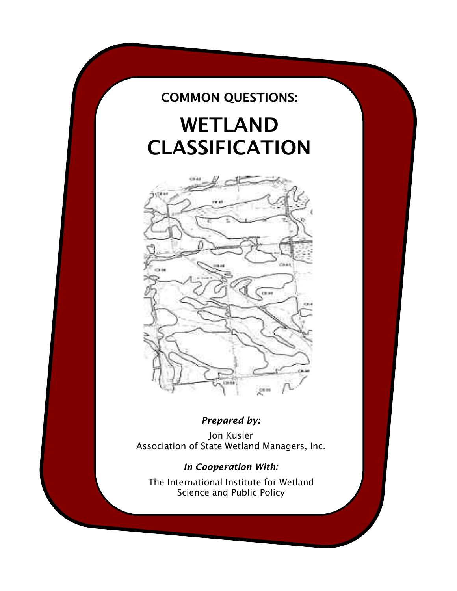# COMMON QUESTIONS:

# WETLAND CLASSIFICATION



# *Prepared by:*

Jon Kusler Association of State Wetland Managers, Inc.

## *In Cooperation With:*

The International Institute for Wetland Science and Public Policy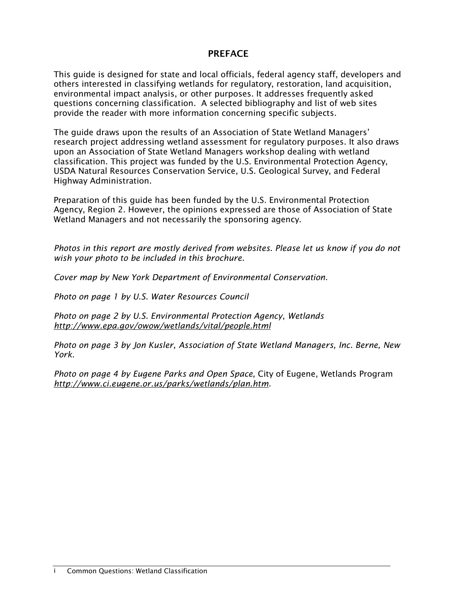#### PREFACE

This guide is designed for state and local officials, federal agency staff, developers and others interested in classifying wetlands for regulatory, restoration, land acquisition, environmental impact analysis, or other purposes. It addresses frequently asked questions concerning classification. A selected bibliography and list of web sites provide the reader with more information concerning specific subjects.

The guide draws upon the results of an Association of State Wetland Managers' research project addressing wetland assessment for regulatory purposes. It also draws upon an Association of State Wetland Managers workshop dealing with wetland classification. This project was funded by the U.S. Environmental Protection Agency, USDA Natural Resources Conservation Service, U.S. Geological Survey, and Federal Highway Administration.

Preparation of this guide has been funded by the U.S. Environmental Protection Agency, Region 2. However, the opinions expressed are those of Association of State Wetland Managers and not necessarily the sponsoring agency.

*Photos in this report are mostly derived from websites. Please let us know if you do not wish your photo to be included in this brochure.* 

*Cover map by New York Department of Environmental Conservation.*

*Photo on page 1 by U.S. Water Resources Council*

*Photo on page 2 by U.S. Environmental Protection Agency, Wetlands <http://www.epa.gov/owow/wetlands/vital/people.html>*

*Photo on page 3 by Jon Kusler, Association of State Wetland Managers, Inc. Berne, New York.*

*Photo on page 4 by Eugene Parks and Open Space,* City of Eugene, Wetlands Program *[http://www.ci.eugene.or.us/parks/wetlands/plan.htm.](http://www.ci.eugene.or.us/parks/wetlands/plan.htm)*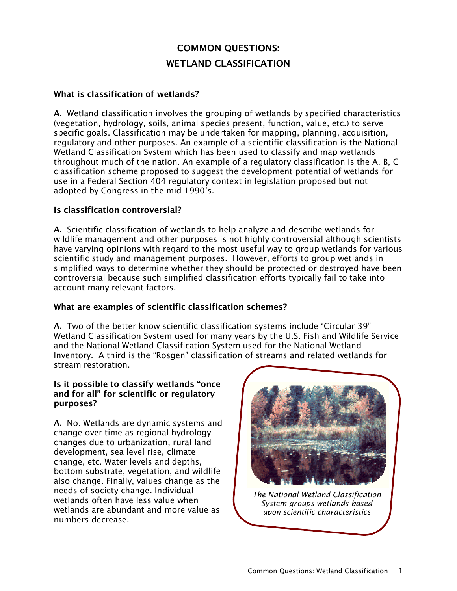# COMMON QUESTIONS: WETLAND CLASSIFICATION

#### What is classification of wetlands?

A. Wetland classification involves the grouping of wetlands by specified characteristics (vegetation, hydrology, soils, animal species present, function, value, etc.) to serve specific goals. Classification may be undertaken for mapping, planning, acquisition, regulatory and other purposes. An example of a scientific classification is the National Wetland Classification System which has been used to classify and map wetlands throughout much of the nation. An example of a regulatory classification is the A, B, C classification scheme proposed to suggest the development potential of wetlands for use in a Federal Section 404 regulatory context in legislation proposed but not adopted by Congress in the mid 1990's.

#### Is classification controversial?

A. Scientific classification of wetlands to help analyze and describe wetlands for wildlife management and other purposes is not highly controversial although scientists have varying opinions with regard to the most useful way to group wetlands for various scientific study and management purposes. However, efforts to group wetlands in simplified ways to determine whether they should be protected or destroyed have been controversial because such simplified classification efforts typically fail to take into account many relevant factors.

#### What are examples of scientific classification schemes?

A. Two of the better know scientific classification systems include "Circular 39" Wetland Classification System used for many years by the U.S. Fish and Wildlife Service and the National Wetland Classification System used for the National Wetland Inventory. A third is the "Rosgen" classification of streams and related wetlands for stream restoration.

#### Is it possible to classify wetlands "once and for all" for scientific or regulatory purposes?

A. No. Wetlands are dynamic systems and change over time as regional hydrology changes due to urbanization, rural land development, sea level rise, climate change, etc. Water levels and depths, bottom substrate, vegetation, and wildlife also change. Finally, values change as the needs of society change. Individual wetlands often have less value when wetlands are abundant and more value as numbers decrease.



*The National Wetland Classification System groups wetlands based upon scientific characteristics*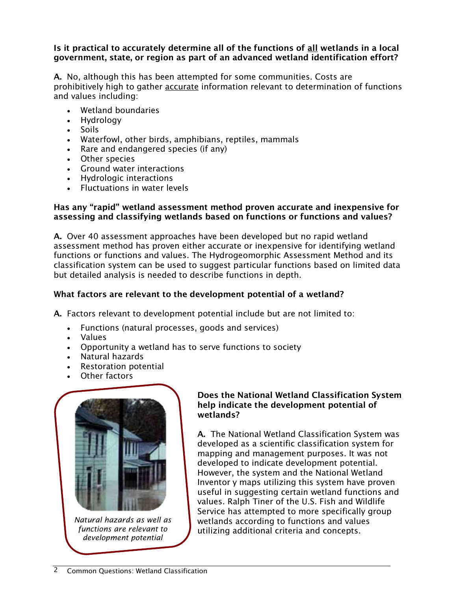#### Is it practical to accurately determine all of the functions of all wetlands in a local government, state, or region as part of an advanced wetland identification effort?

A. No, although this has been attempted for some communities. Costs are prohibitively high to gather accurate information relevant to determination of functions and values including:

- Wetland boundaries
- Hydrology
- Soils
- Waterfowl, other birds, amphibians, reptiles, mammals
- Rare and endangered species (if any)
- Other species
- Ground water interactions
- Hydrologic interactions
- Fluctuations in water levels

#### Has any "rapid" wetland assessment method proven accurate and inexpensive for assessing and classifying wetlands based on functions or functions and values?

A. Over 40 assessment approaches have been developed but no rapid wetland assessment method has proven either accurate or inexpensive for identifying wetland functions or functions and values. The Hydrogeomorphic Assessment Method and its classification system can be used to suggest particular functions based on limited data but detailed analysis is needed to describe functions in depth.

#### What factors are relevant to the development potential of a wetland?

A. Factors relevant to development potential include but are not limited to:

- Functions (natural processes, goods and services)
- Values
- Opportunity a wetland has to serve functions to society
- Natural hazards
- Restoration potential
- Other factors



*Natural hazards as well as functions are relevant to development potential*

#### Does the National Wetland Classification System help indicate the development potential of wetlands?

A. The National Wetland Classification System was developed as a scientific classification system for mapping and management purposes. It was not developed to indicate development potential. However, the system and the National Wetland Inventor y maps utilizing this system have proven useful in suggesting certain wetland functions and values. Ralph Tiner of the U.S. Fish and Wildlife Service has attempted to more specifically group wetlands according to functions and values utilizing additional criteria and concepts.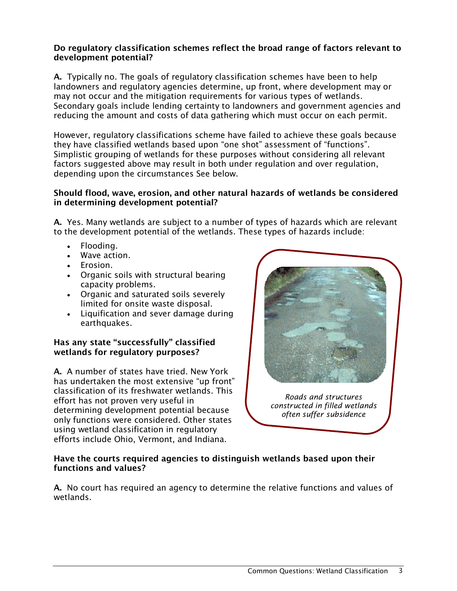#### Do regulatory classification schemes reflect the broad range of factors relevant to development potential?

A. Typically no. The goals of regulatory classification schemes have been to help landowners and regulatory agencies determine, up front, where development may or may not occur and the mitigation requirements for various types of wetlands. Secondary goals include lending certainty to landowners and government agencies and reducing the amount and costs of data gathering which must occur on each permit.

However, regulatory classifications scheme have failed to achieve these goals because they have classified wetlands based upon "one shot" assessment of "functions". Simplistic grouping of wetlands for these purposes without considering all relevant factors suggested above may result in both under regulation and over regulation, depending upon the circumstances See below.

#### Should flood, wave, erosion, and other natural hazards of wetlands be considered in determining development potential?

A. Yes. Many wetlands are subject to a number of types of hazards which are relevant to the development potential of the wetlands. These types of hazards include:

- Flooding.
- Wave action.
- Erosion.
- Organic soils with structural bearing capacity problems.
- Organic and saturated soils severely limited for onsite waste disposal.
- Liquification and sever damage during earthquakes.

#### Has any state "successfully" classified wetlands for regulatory purposes?

A. A number of states have tried. New York has undertaken the most extensive "up front" classification of its freshwater wetlands. This effort has not proven very useful in determining development potential because only functions were considered. Other states using wetland classification in regulatory efforts include Ohio, Vermont, and Indiana.



*Roads and structures constructed in filled wetlands often suffer subsidence*

#### Have the courts required agencies to distinguish wetlands based upon their functions and values?

A. No court has required an agency to determine the relative functions and values of wetlands.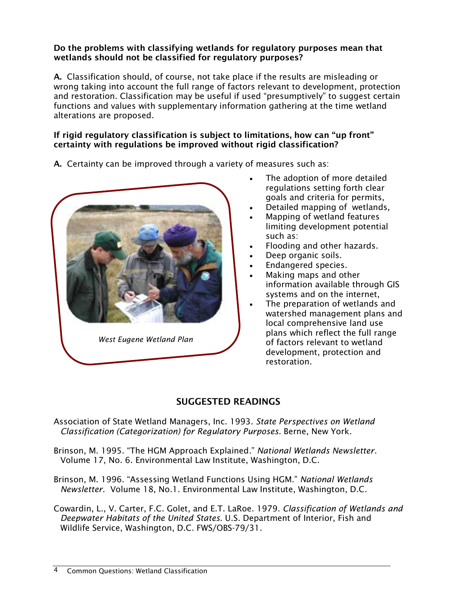#### Do the problems with classifying wetlands for regulatory purposes mean that wetlands should not be classified for regulatory purposes?

A. Classification should, of course, not take place if the results are misleading or wrong taking into account the full range of factors relevant to development, protection and restoration. Classification may be useful if used "presumptively" to suggest certain functions and values with supplementary information gathering at the time wetland alterations are proposed.

#### If rigid regulatory classification is subject to limitations, how can "up front" certainty with regulations be improved without rigid classification?

A. Certainty can be improved through a variety of measures such as:



- The adoption of more detailed regulations setting forth clear goals and criteria for permits,
- Detailed mapping of wetlands,
- Mapping of wetland features limiting development potential such as:
- Flooding and other hazards.
- Deep organic soils.
- Endangered species.
- Making maps and other information available through GIS systems and on the internet,
- The preparation of wetlands and watershed management plans and local comprehensive land use plans which reflect the full range of factors relevant to wetland development, protection and restoration.

### SUGGESTED READINGS

Association of State Wetland Managers, Inc. 1993*. State Perspectives on Wetland Classification (Categorization) for Regulatory Purposes.* Berne, New York.

- Brinson, M. 1995. "The HGM Approach Explained*.*" *National Wetlands Newsletter.* Volume 17, No. 6. Environmental Law Institute, Washington, D.C.
- Brinson, M. 1996. "Assessing Wetland Functions Using HGM." *National Wetlands Newsletter*. Volume 18, No.1. Environmental Law Institute, Washington, D.C.
- Cowardin, L., V. Carter, F.C. Golet, and E.T. LaRoe. 1979. *Classification of Wetlands and Deepwater Habitats of the United States*. U.S. Department of Interior, Fish and Wildlife Service, Washington, D.C. FWS/OBS-79/31.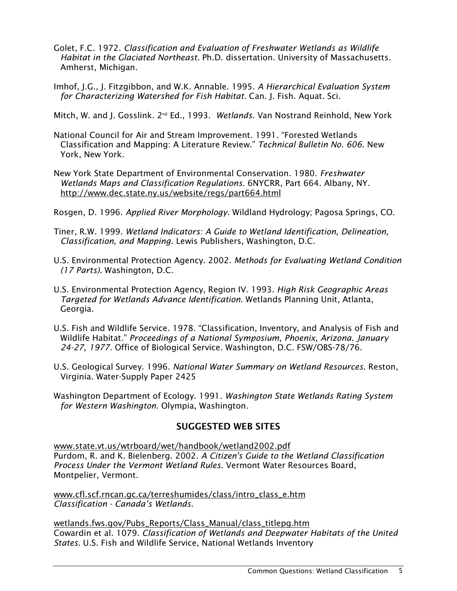- Golet, F.C. 1972. *Classification and Evaluation of Freshwater Wetlands as Wildlife Habitat in the Glaciated Northeast.* Ph.D. dissertation. University of Massachusetts. Amherst, Michigan.
- Imhof, J.G., J. Fitzgibbon, and W.K. Annable. 1995. *A Hierarchical Evaluation System for Characterizing Watershed for Fish Habitat.* Can. J. Fish. Aquat. Sci.

Mitch, W. and J. Gosslink. 2nd Ed., 1993. *Wetlands*. Van Nostrand Reinhold, New York

- National Council for Air and Stream Improvement. 1991. "Forested Wetlands Classification and Mapping: A Literature Review." *Technical Bulletin No. 606*. New York, New York.
- New York State Department of Environmental Conservation. 1980. *Freshwater Wetlands Maps and Classification Regulations.* 6NYCRR, Part 664. Albany, NY. <http://www.dec.state.ny.us/website/regs/part664.html>

Rosgen, D. 1996. *Applied River Morphology*. Wildland Hydrology; Pagosa Springs, CO.

- Tiner, R.W. 1999. *Wetland Indicators: A Guide to Wetland Identification, Delineation, Classification, and Mapping*. Lewis Publishers, Washington, D.C.
- U.S. Environmental Protection Agency. 2002. *Methods for Evaluating Wetland Condition (17 Parts).* Washington, D.C.
- U.S. Environmental Protection Agency, Region IV. 1993. *High Risk Geographic Areas Targeted for Wetlands Advance Identification.* Wetlands Planning Unit, Atlanta, Georgia.
- U.S. Fish and Wildlife Service. 1978. "Classification, Inventory, and Analysis of Fish and Wildlife Habitat." *Proceedings of a National Symposium, Phoenix, Arizona. January 24-27, 1977.* Office of Biological Service. Washington, D.C. FSW/OBS-78/76.
- U.S. Geological Survey. 1996. *National Water Summary on Wetland Resources.* Reston, Virginia. Water-Supply Paper 2425
- Washington Department of Ecology. 1991. *Washington State Wetlands Rating System for Western Washington.* Olympia, Washington.

#### SUGGESTED WEB SITES

[www.state.vt.us/wtrboard/wet/handbook/wetland2002.pdf](http://www.state.vt.us/wtrboard/wet/handbook/wetland2002.pdf)  Purdom, R. and K. Bielenberg. 2002. *A Citizen's Guide to the Wetland Classification Process Under the Vermont Wetland Rules.* Vermont Water Resources Board, Montpelier, Vermont.

[www.cfl.scf.rncan.gc.ca/terreshumides/class/intro\\_class\\_e.htm](http://www.cfl.scf.rncan.gc.ca/terreshumides/class/intro_class_e.htm)  *Classification - Canada's Wetlands.* 

[wetlands.fws.gov/Pubs\\_Reports/Class\\_Manual/class\\_titlepg.htm](http://wetlands.fws.gov/Pubs_Reports/Class_Manual/class_titlepg.htm)  Cowardin et al. 1079. *Classification of Wetlands and Deepwater Habitats of the United States*. U.S. Fish and Wildlife Service, National Wetlands Inventory